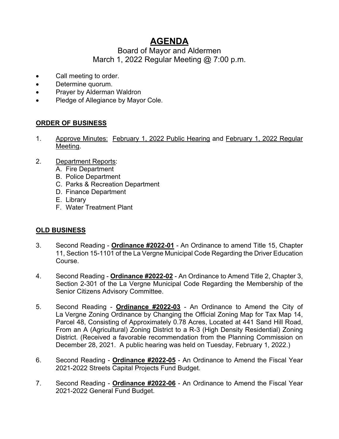# **AGENDA**

# Board of Mayor and Aldermen March 1, 2022 Regular Meeting @ 7:00 p.m.

- Call meeting to order.
- Determine quorum.
- Prayer by Alderman Waldron
- Pledge of Allegiance by Mayor Cole.

# **ORDER OF BUSINESS**

- 1. Approve Minutes: February 1, 2022 Public Hearing and February 1, 2022 Regular Meeting.
- 2. Department Reports:
	- A. Fire Department
	- B. Police Department
	- C. Parks & Recreation Department
	- D. Finance Department
	- E. Library
	- F. Water Treatment Plant

## **OLD BUSINESS**

- 3. Second Reading **Ordinance #2022-01** An Ordinance to amend Title 15, Chapter 11, Section 15-1101 of the La Vergne Municipal Code Regarding the Driver Education Course.
- 4. Second Reading **Ordinance #2022-02** An Ordinance to Amend Title 2, Chapter 3, Section 2-301 of the La Vergne Municipal Code Regarding the Membership of the Senior Citizens Advisory Committee.
- 5. Second Reading **Ordinance #2022-03** An Ordinance to Amend the City of La Vergne Zoning Ordinance by Changing the Official Zoning Map for Tax Map 14, Parcel 48, Consisting of Approximately 0.78 Acres, Located at 441 Sand Hill Road, From an A (Agricultural) Zoning District to a R-3 (High Density Residential) Zoning District. (Received a favorable recommendation from the Planning Commission on December 28, 2021. A public hearing was held on Tuesday, February 1, 2022.)
- 6. Second Reading **Ordinance #2022-05** An Ordinance to Amend the Fiscal Year 2021-2022 Streets Capital Projects Fund Budget.
- 7. Second Reading **Ordinance #2022-06** An Ordinance to Amend the Fiscal Year 2021-2022 General Fund Budget.